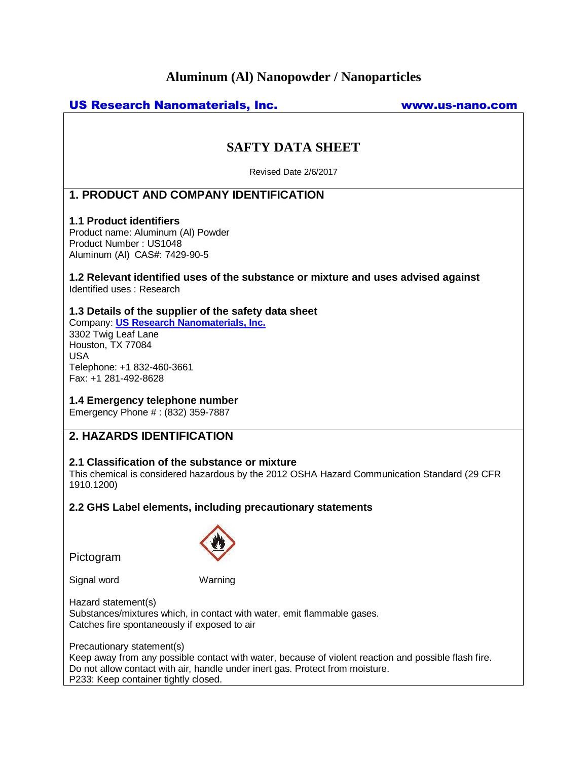# **Aluminum (Al) Nanopowder / Nanoparticles**

# US Research Nanomaterials, Inc. www.us-nano.com

# **SAFTY DATA SHEET**

Revised Date 2/6/2017

# **1. PRODUCT AND COMPANY IDENTIFICATION**

## **1.1 Product identifiers**

Product name: Aluminum (Al) Powder Product Number : US1048 Aluminum (Al) CAS#: 7429-90-5

#### **1.2 Relevant identified uses of the substance or mixture and uses advised against** Identified uses : Research

## **1.3 Details of the supplier of the safety data sheet**

Company: **[US Research Nanomaterials, Inc.](http://www.us-nano.com/)** 3302 Twig Leaf Lane Houston, TX 77084 USA Telephone: +1 832-460-3661 Fax: +1 281-492-8628

## **1.4 Emergency telephone number**

Emergency Phone # : (832) 359-7887

## **2. HAZARDS IDENTIFICATION**

## **2.1 Classification of the substance or mixture**

This chemical is considered hazardous by the 2012 OSHA Hazard Communication Standard (29 CFR 1910.1200)

## **2.2 GHS Label elements, including precautionary statements**

Pictogram



Signal word Warning

Hazard statement(s) Substances/mixtures which, in contact with water, emit flammable gases. Catches fire spontaneously if exposed to air

Precautionary statement(s)

Keep away from any possible contact with water, because of violent reaction and possible flash fire. Do not allow contact with air, handle under inert gas. Protect from moisture. P233: Keep container tightly closed.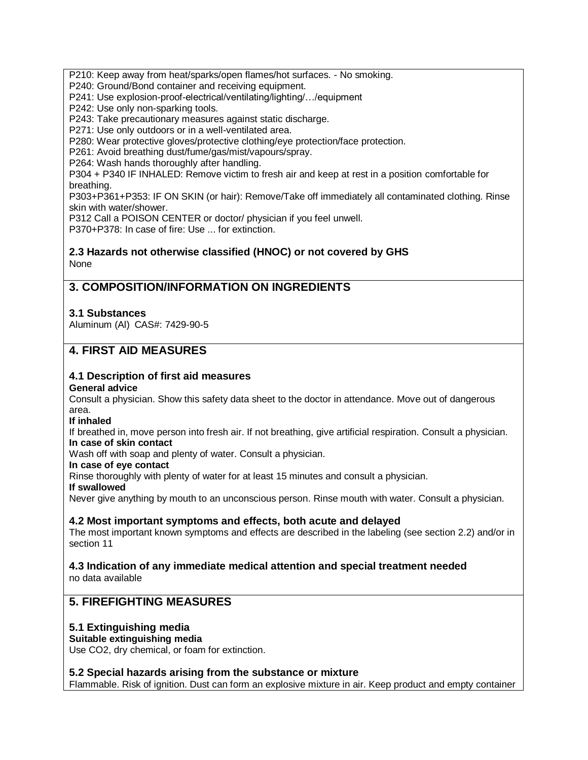P210: Keep away from heat/sparks/open flames/hot surfaces. - No smoking.

P240: Ground/Bond container and receiving equipment.

P241: Use explosion-proof-electrical/ventilating/lighting/…/equipment

P242: Use only non-sparking tools.

P243: Take precautionary measures against static discharge.

P271: Use only outdoors or in a well-ventilated area.

P280: Wear protective gloves/protective clothing/eye protection/face protection.

P261: Avoid breathing dust/fume/gas/mist/vapours/spray.

P264: Wash hands thoroughly after handling.

P304 + P340 IF INHALED: Remove victim to fresh air and keep at rest in a position comfortable for breathing.

P303+P361+P353: IF ON SKIN (or hair): Remove/Take off immediately all contaminated clothing. Rinse skin with water/shower.

P312 Call a POISON CENTER or doctor/ physician if you feel unwell.

P370+P378: In case of fire: Use ... for extinction.

## **2.3 Hazards not otherwise classified (HNOC) or not covered by GHS** None

# **3. COMPOSITION/INFORMATION ON INGREDIENTS**

## **3.1 Substances**

Aluminum (Al) CAS#: 7429-90-5

# **4. FIRST AID MEASURES**

# **4.1 Description of first aid measures**

## **General advice**

Consult a physician. Show this safety data sheet to the doctor in attendance. Move out of dangerous area.

**If inhaled**

If breathed in, move person into fresh air. If not breathing, give artificial respiration. Consult a physician. **In case of skin contact**

Wash off with soap and plenty of water. Consult a physician.

**In case of eye contact**

Rinse thoroughly with plenty of water for at least 15 minutes and consult a physician.

**If swallowed**

Never give anything by mouth to an unconscious person. Rinse mouth with water. Consult a physician.

## **4.2 Most important symptoms and effects, both acute and delayed**

The most important known symptoms and effects are described in the labeling (see section 2.2) and/or in section 11

#### **4.3 Indication of any immediate medical attention and special treatment needed** no data available

# **5. FIREFIGHTING MEASURES**

## **5.1 Extinguishing media**

## **Suitable extinguishing media**

Use CO2, dry chemical, or foam for extinction.

## **5.2 Special hazards arising from the substance or mixture**

Flammable. Risk of ignition. Dust can form an explosive mixture in air. Keep product and empty container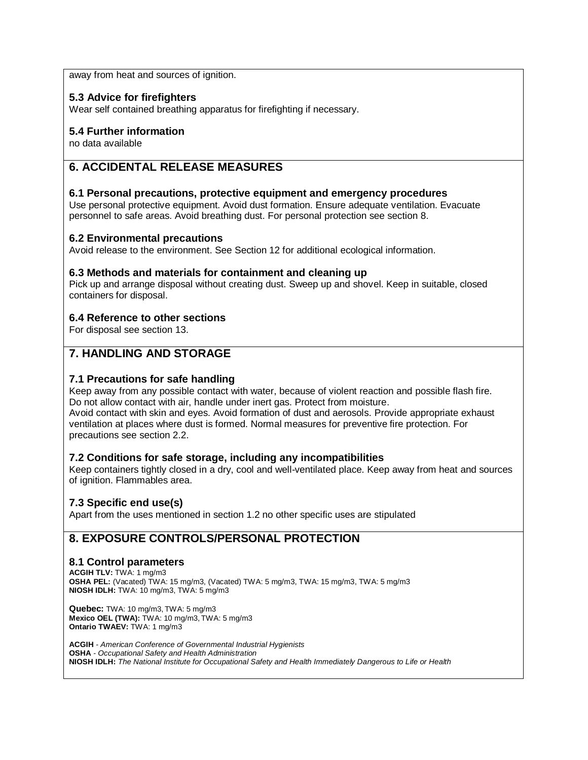away from heat and sources of ignition.

## **5.3 Advice for firefighters**

Wear self contained breathing apparatus for firefighting if necessary.

## **5.4 Further information**

no data available

# **6. ACCIDENTAL RELEASE MEASURES**

## **6.1 Personal precautions, protective equipment and emergency procedures**

Use personal protective equipment. Avoid dust formation. Ensure adequate ventilation. Evacuate personnel to safe areas. Avoid breathing dust. For personal protection see section 8.

#### **6.2 Environmental precautions**

Avoid release to the environment. See Section 12 for additional ecological information.

## **6.3 Methods and materials for containment and cleaning up**

Pick up and arrange disposal without creating dust. Sweep up and shovel. Keep in suitable, closed containers for disposal.

## **6.4 Reference to other sections**

For disposal see section 13.

# **7. HANDLING AND STORAGE**

## **7.1 Precautions for safe handling**

Keep away from any possible contact with water, because of violent reaction and possible flash fire. Do not allow contact with air, handle under inert gas. Protect from moisture. Avoid contact with skin and eyes. Avoid formation of dust and aerosols. Provide appropriate exhaust ventilation at places where dust is formed. Normal measures for preventive fire protection. For precautions see section 2.2.

## **7.2 Conditions for safe storage, including any incompatibilities**

Keep containers tightly closed in a dry, cool and well-ventilated place. Keep away from heat and sources of ignition. Flammables area.

## **7.3 Specific end use(s)**

Apart from the uses mentioned in section 1.2 no other specific uses are stipulated

# **8. EXPOSURE CONTROLS/PERSONAL PROTECTION**

## **8.1 Control parameters**

**ACGIH TLV:** TWA: 1 mg/m3 **OSHA PEL:** (Vacated) TWA: 15 mg/m3, (Vacated) TWA: 5 mg/m3, TWA: 15 mg/m3, TWA: 5 mg/m3 **NIOSH IDLH:** TWA: 10 mg/m3, TWA: 5 mg/m3

**Quebec:** TWA: 10 mg/m3, TWA: 5 mg/m3 **Mexico OEL (TWA):** TWA: 10 mg/m3, TWA: 5 mg/m3 **Ontario TWAEV:** TWA: 1 mg/m3

**ACGIH** *- American Conference of Governmental Industrial Hygienists* **OSHA** *- Occupational Safety and Health Administration* **NIOSH IDLH:** *The National Institute for Occupational Safety and Health Immediately Dangerous to Life or Health*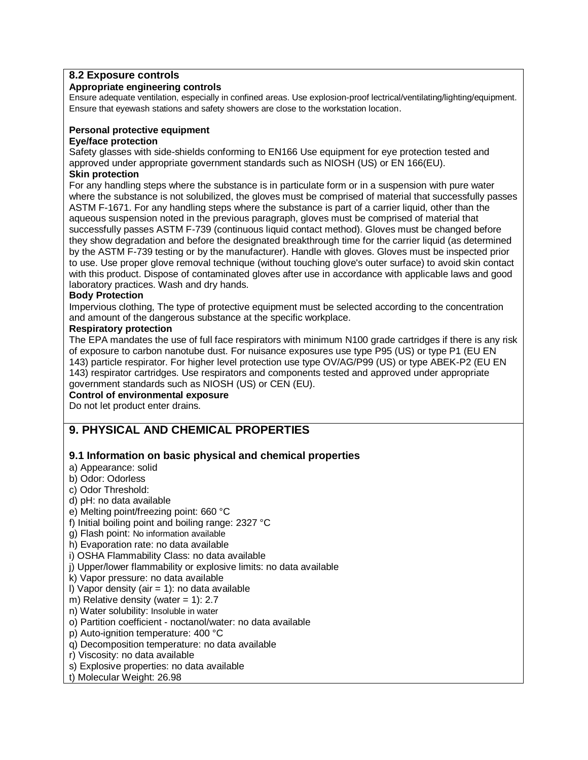## **8.2 Exposure controls**

## **Appropriate engineering controls**

Ensure adequate ventilation, especially in confined areas. Use explosion-proof lectrical/ventilating/lighting/equipment. Ensure that eyewash stations and safety showers are close to the workstation location.

## **Personal protective equipment**

#### **Eye/face protection**

Safety glasses with side-shields conforming to EN166 Use equipment for eye protection tested and approved under appropriate government standards such as NIOSH (US) or EN 166(EU). **Skin protection**

For any handling steps where the substance is in particulate form or in a suspension with pure water where the substance is not solubilized, the gloves must be comprised of material that successfully passes ASTM F-1671. For any handling steps where the substance is part of a carrier liquid, other than the aqueous suspension noted in the previous paragraph, gloves must be comprised of material that successfully passes ASTM F-739 (continuous liquid contact method). Gloves must be changed before they show degradation and before the designated breakthrough time for the carrier liquid (as determined by the ASTM F-739 testing or by the manufacturer). Handle with gloves. Gloves must be inspected prior to use. Use proper glove removal technique (without touching glove's outer surface) to avoid skin contact with this product. Dispose of contaminated gloves after use in accordance with applicable laws and good laboratory practices. Wash and dry hands.

#### **Body Protection**

Impervious clothing, The type of protective equipment must be selected according to the concentration and amount of the dangerous substance at the specific workplace.

## **Respiratory protection**

The EPA mandates the use of full face respirators with minimum N100 grade cartridges if there is any risk of exposure to carbon nanotube dust. For nuisance exposures use type P95 (US) or type P1 (EU EN 143) particle respirator. For higher level protection use type OV/AG/P99 (US) or type ABEK-P2 (EU EN 143) respirator cartridges. Use respirators and components tested and approved under appropriate government standards such as NIOSH (US) or CEN (EU).

## **Control of environmental exposure**

Do not let product enter drains.

# **9. PHYSICAL AND CHEMICAL PROPERTIES**

## **9.1 Information on basic physical and chemical properties**

- a) Appearance: solid
- b) Odor: Odorless
- c) Odor Threshold:
- d) pH: no data available
- e) Melting point/freezing point: 660 °C
- f) Initial boiling point and boiling range: 2327 °C
- g) Flash point: No information available
- h) Evaporation rate: no data available
- i) OSHA Flammability Class: no data available
- j) Upper/lower flammability or explosive limits: no data available
- k) Vapor pressure: no data available
- I) Vapor density (air  $= 1$ ): no data available
- m) Relative density (water  $= 1$ ): 2.7
- n) Water solubility: Insoluble in water
- o) Partition coefficient noctanol/water: no data available
- p) Auto-ignition temperature: 400 °C
- q) Decomposition temperature: no data available
- r) Viscosity: no data available
- s) Explosive properties: no data available
- t) Molecular Weight: 26.98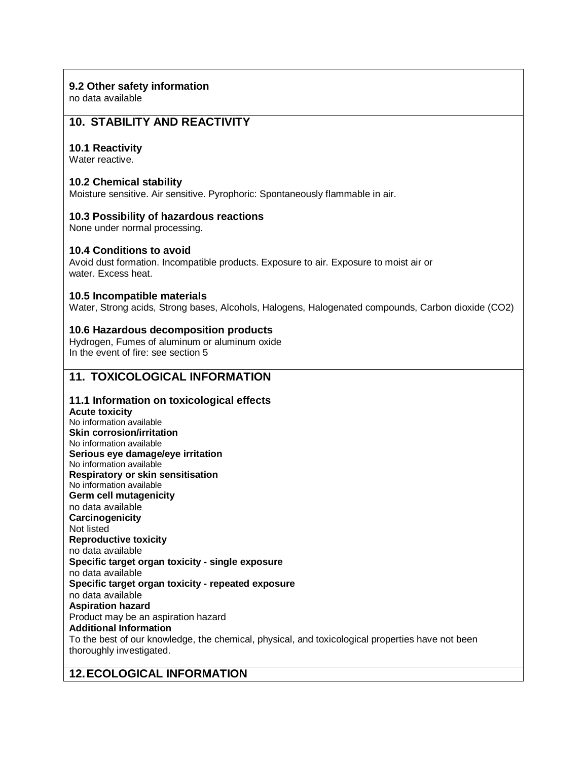## **9.2 Other safety information**

no data available

# **10. STABILITY AND REACTIVITY**

## **10.1 Reactivity**

Water reactive.

## **10.2 Chemical stability**

Moisture sensitive. Air sensitive. Pyrophoric: Spontaneously flammable in air.

## **10.3 Possibility of hazardous reactions**

None under normal processing.

## **10.4 Conditions to avoid**

Avoid dust formation. Incompatible products. Exposure to air. Exposure to moist air or water. Excess heat.

## **10.5 Incompatible materials**

Water, Strong acids, Strong bases, Alcohols, Halogens, Halogenated compounds, Carbon dioxide (CO2)

## **10.6 Hazardous decomposition products**

Hydrogen, Fumes of aluminum or aluminum oxide In the event of fire: see section 5

## **11. TOXICOLOGICAL INFORMATION**

## **11.1 Information on toxicological effects**

**Acute toxicity** No information available **Skin corrosion/irritation** No information available **Serious eye damage/eye irritation** No information available **Respiratory or skin sensitisation** No information available **Germ cell mutagenicity** no data available **Carcinogenicity** Not listed **Reproductive toxicity** no data available **Specific target organ toxicity - single exposure** no data available **Specific target organ toxicity - repeated exposure** no data available **Aspiration hazard** Product may be an aspiration hazard **Additional Information** To the best of our knowledge, the chemical, physical, and toxicological properties have not been thoroughly investigated.

## **12.ECOLOGICAL INFORMATION**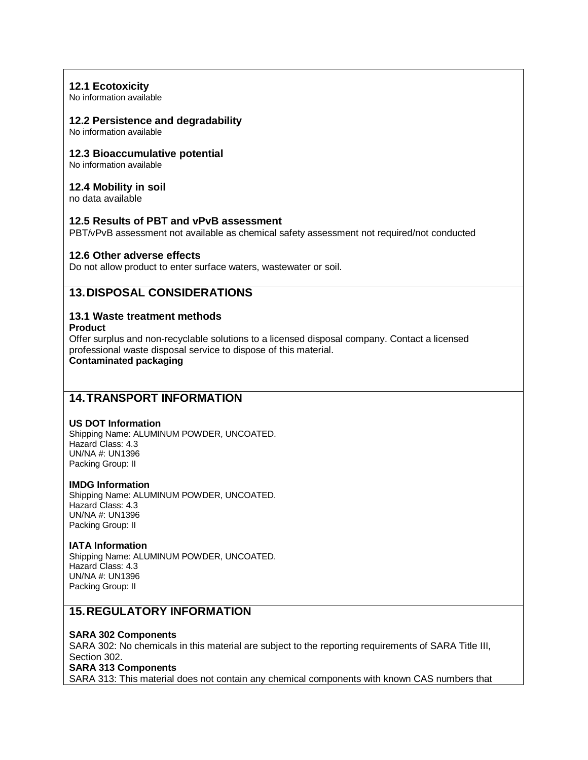## **12.1 Ecotoxicity**

No information available

#### **12.2 Persistence and degradability**

No information available

#### **12.3 Bioaccumulative potential**

No information available

#### **12.4 Mobility in soil**

no data available

## **12.5 Results of PBT and vPvB assessment**

PBT/vPvB assessment not available as chemical safety assessment not required/not conducted

## **12.6 Other adverse effects**

Do not allow product to enter surface waters, wastewater or soil.

## **13.DISPOSAL CONSIDERATIONS**

## **13.1 Waste treatment methods**

**Product**

Offer surplus and non-recyclable solutions to a licensed disposal company. Contact a licensed professional waste disposal service to dispose of this material.

**Contaminated packaging**

## **14.TRANSPORT INFORMATION**

#### **US DOT Information**

Shipping Name: ALUMINUM POWDER, UNCOATED. Hazard Class: 4.3 UN/NA #: UN1396 Packing Group: II

#### **IMDG Information**

Shipping Name: ALUMINUM POWDER, UNCOATED. Hazard Class: 4.3 UN/NA #: UN1396 Packing Group: II

#### **IATA Information**

Shipping Name: ALUMINUM POWDER, UNCOATED. Hazard Class: 4.3 UN/NA #: UN1396 Packing Group: II

## **15.REGULATORY INFORMATION**

#### **SARA 302 Components**

SARA 302: No chemicals in this material are subject to the reporting requirements of SARA Title III, Section 302.

#### **SARA 313 Components**

SARA 313: This material does not contain any chemical components with known CAS numbers that